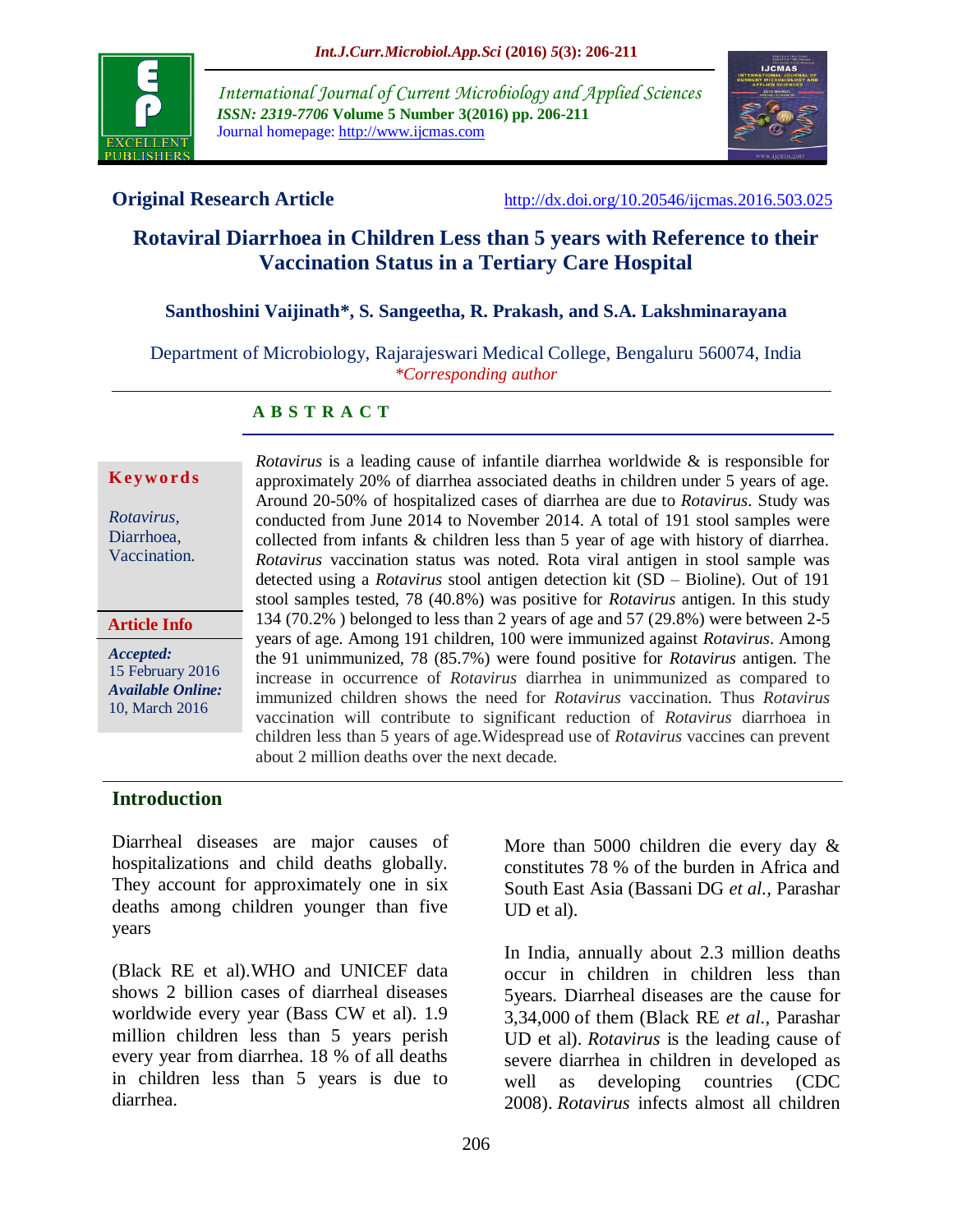

*International Journal of Current Microbiology and Applied Sciences ISSN: 2319-7706* **Volume 5 Number 3(2016) pp. 206-211** Journal homepage: http://www.ijcmas.com



**Original Research Article** <http://dx.doi.org/10.20546/ijcmas.2016.503.025>

# **Rotaviral Diarrhoea in Children Less than 5 years with Reference to their Vaccination Status in a Tertiary Care Hospital**

# **Santhoshini Vaijinath\*, S. Sangeetha, R. Prakash, and S.A. Lakshminarayana**

Department of Microbiology, Rajarajeswari Medical College, Bengaluru 560074, India *\*Corresponding author*

## **A B S T R A C T**

#### **K ey w o rd s**

*Rotavirus,* Diarrhoea, Vaccination.

#### **Article Info**

*Accepted:*  15 February 2016 *Available Online:* 10, March 2016

*Rotavirus* is a leading cause of infantile diarrhea worldwide & is responsible for approximately 20% of diarrhea associated deaths in children under 5 years of age. Around 20-50% of hospitalized cases of diarrhea are due to *Rotavirus*. Study was conducted from June 2014 to November 2014. A total of 191 stool samples were collected from infants & children less than 5 year of age with history of diarrhea. *Rotavirus* vaccination status was noted. Rota viral antigen in stool sample was detected using a *Rotavirus* stool antigen detection kit (SD – Bioline). Out of 191 stool samples tested, 78 (40.8%) was positive for *Rotavirus* antigen. In this study 134 (70.2% ) belonged to less than 2 years of age and 57 (29.8%) were between 2-5 years of age. Among 191 children, 100 were immunized against *Rotavirus*. Among the 91 unimmunized, 78 (85.7%) were found positive for *Rotavirus* antigen. The increase in occurrence of *Rotavirus* diarrhea in unimmunized as compared to immunized children shows the need for *Rotavirus* vaccination. Thus *Rotavirus* vaccination will contribute to significant reduction of *Rotavirus* diarrhoea in children less than 5 years of age.Widespread use of *Rotavirus* vaccines can prevent about 2 million deaths over the next decade.

# **Introduction**

Diarrheal diseases are major causes of hospitalizations and child deaths globally. They account for approximately one in six deaths among children younger than five years

(Black RE et al).WHO and UNICEF data shows 2 billion cases of diarrheal diseases worldwide every year (Bass CW et al). 1.9 million children less than 5 years perish every year from diarrhea. 18 % of all deaths in children less than 5 years is due to diarrhea.

More than 5000 children die every day & constitutes 78 % of the burden in Africa and South East Asia (Bassani DG *et al.,* Parashar UD et al).

In India, annually about 2.3 million deaths occur in children in children less than 5years. Diarrheal diseases are the cause for 3,34,000 of them (Black RE *et al.,* Parashar UD et al). *Rotavirus* is the leading cause of severe diarrhea in children in developed as well as developing countries (CDC 2008). *Rotavirus* infects almost all children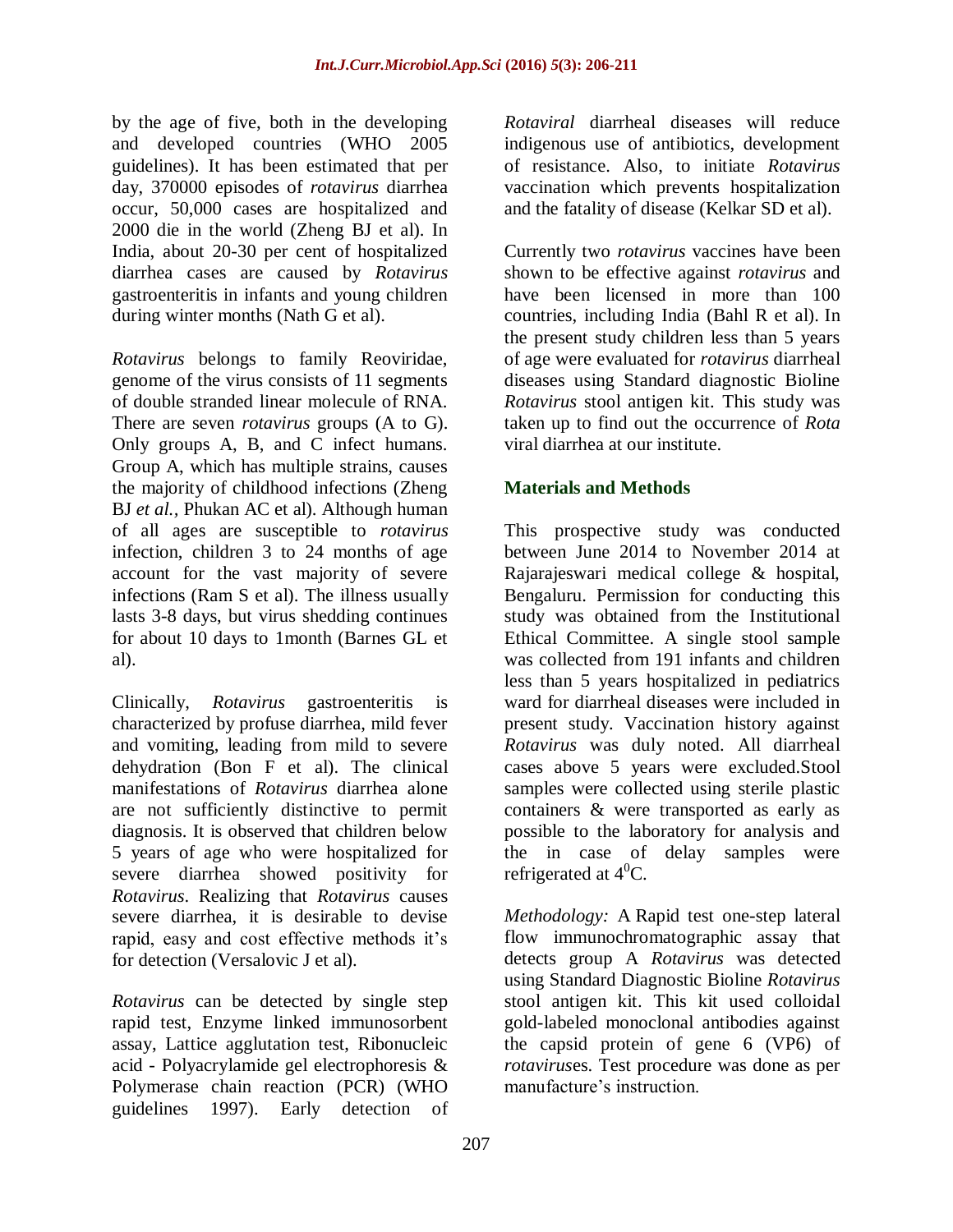by the age of five, both in the developing and developed countries (WHO 2005 guidelines). It has been estimated that per day, 370000 episodes of *rotavirus* diarrhea occur, 50,000 cases are hospitalized and 2000 die in the world (Zheng BJ et al). In India, about 20-30 per cent of hospitalized diarrhea cases are caused by *Rotavirus* gastroenteritis in infants and young children during winter months (Nath G et al).

*Rotavirus* belongs to family Reoviridae, genome of the virus consists of 11 segments of double stranded linear molecule of RNA. There are seven *rotavirus* groups (A to G). Only groups A, B, and C infect humans. Group A, which has multiple strains, causes the majority of childhood infections (Zheng BJ *et al.,* Phukan AC et al). Although human of all ages are susceptible to *rotavirus* infection, children 3 to 24 months of age account for the vast majority of severe infections (Ram S et al). The illness usually lasts 3-8 days, but virus shedding continues for about 10 days to 1month (Barnes GL et al).

Clinically, *Rotavirus* gastroenteritis is characterized by profuse diarrhea, mild fever and vomiting, leading from mild to severe dehydration (Bon F et al). The clinical manifestations of *Rotavirus* diarrhea alone are not sufficiently distinctive to permit diagnosis. It is observed that children below 5 years of age who were hospitalized for severe diarrhea showed positivity for *Rotavirus*. Realizing that *Rotavirus* causes severe diarrhea, it is desirable to devise rapid, easy and cost effective methods it's for detection (Versalovic J et al).

*Rotavirus* can be detected by single step rapid test, Enzyme linked immunosorbent assay, Lattice agglutation test, Ribonucleic acid - Polyacrylamide gel electrophoresis & Polymerase chain reaction (PCR) (WHO guidelines 1997). Early detection of *Rotaviral* diarrheal diseases will reduce indigenous use of antibiotics, development of resistance. Also, to initiate *Rotavirus* vaccination which prevents hospitalization and the fatality of disease (Kelkar SD et al).

Currently two *rotavirus* vaccines have been shown to be effective against *rotavirus* and have been licensed in more than 100 countries, including India (Bahl R et al). In the present study children less than 5 years of age were evaluated for *rotavirus* diarrheal diseases using Standard diagnostic Bioline *Rotavirus* stool antigen kit. This study was taken up to find out the occurrence of *Rota*  viral diarrhea at our institute.

# **Materials and Methods**

This prospective study was conducted between June 2014 to November 2014 at Rajarajeswari medical college & hospital, Bengaluru. Permission for conducting this study was obtained from the Institutional Ethical Committee. A single stool sample was collected from 191 infants and children less than 5 years hospitalized in pediatrics ward for diarrheal diseases were included in present study. Vaccination history against *Rotavirus* was duly noted. All diarrheal cases above 5 years were excluded.Stool samples were collected using sterile plastic containers & were transported as early as possible to the laboratory for analysis and the in case of delay samples were refrigerated at  $4^0C$ .

*Methodology:* A Rapid test one-step lateral flow immunochromatographic assay that detects group A *Rotavirus* was detected using Standard Diagnostic Bioline *Rotavirus* stool antigen kit. This kit used colloidal gold-labeled monoclonal antibodies against the capsid protein of gene 6 (VP6) of *rotavirus*es. Test procedure was done as per manufacture's instruction.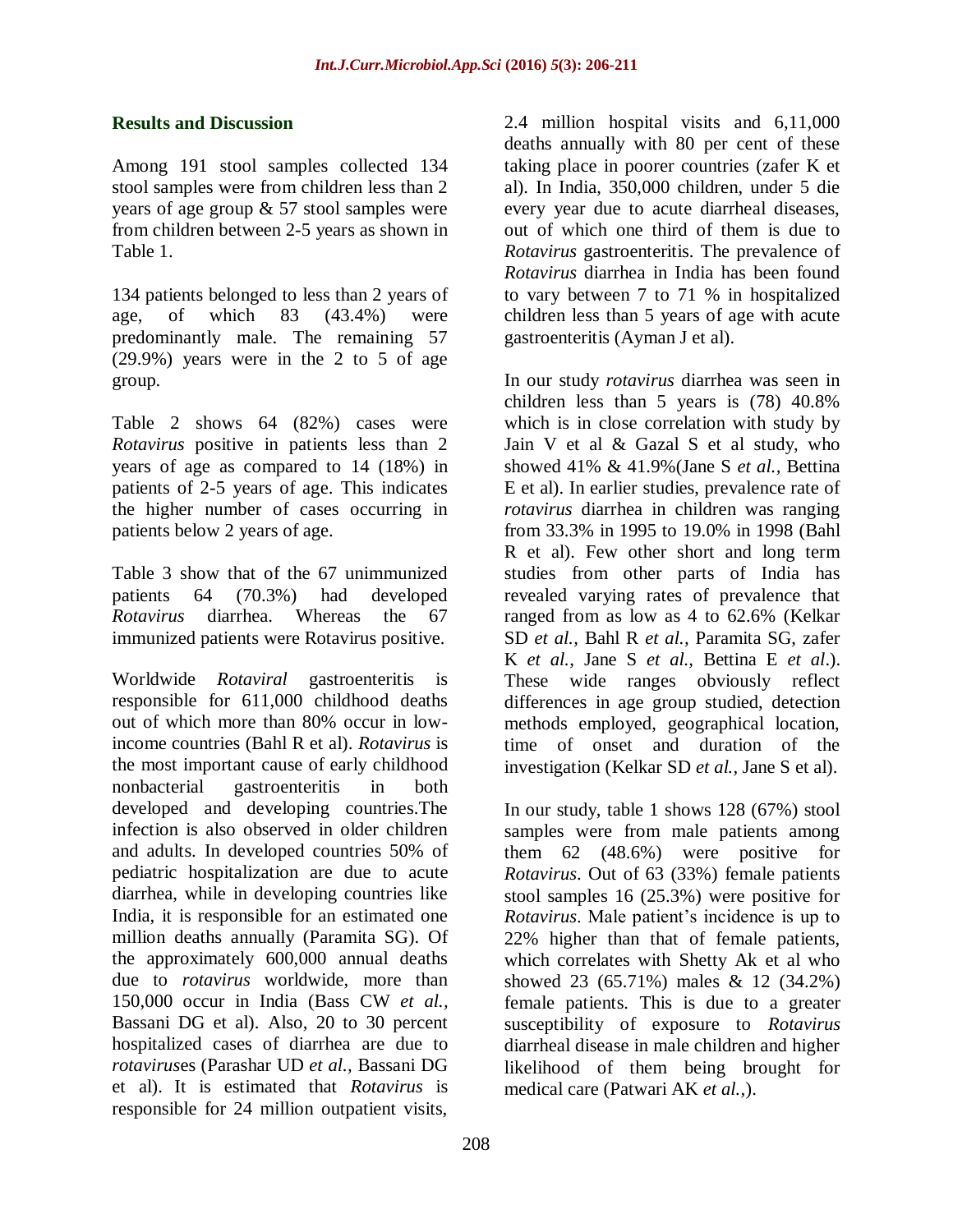#### **Results and Discussion**

Among 191 stool samples collected 134 stool samples were from children less than 2 years of age group & 57 stool samples were from children between 2-5 years as shown in Table 1.

134 patients belonged to less than 2 years of age, of which 83 (43.4%) were predominantly male. The remaining 57 (29.9%) years were in the 2 to 5 of age group.

Table 2 shows 64 (82%) cases were *Rotavirus* positive in patients less than 2 years of age as compared to 14 (18%) in patients of 2-5 years of age. This indicates the higher number of cases occurring in patients below 2 years of age.

Table 3 show that of the 67 unimmunized patients 64 (70.3%) had developed *Rotavirus* diarrhea. Whereas the 67 immunized patients were Rotavirus positive.

Worldwide *Rotaviral* gastroenteritis is responsible for 611,000 childhood deaths out of which more than 80% occur in lowincome countries (Bahl R et al). *Rotavirus* is the most important cause of early childhood nonbacterial gastroenteritis in both developed and developing countries.The infection is also observed in older children and adults. In developed countries 50% of pediatric hospitalization are due to acute diarrhea, while in developing countries like India, it is responsible for an estimated one million deaths annually (Paramita SG). Of the approximately 600,000 annual deaths due to *rotavirus* worldwide, more than 150,000 occur in India (Bass CW *et al.,* Bassani DG et al). Also, 20 to 30 percent hospitalized cases of diarrhea are due to *rotavirus*es (Parashar UD *et al.,* Bassani DG et al). It is estimated that *Rotavirus* is responsible for 24 million outpatient visits,

2.4 million hospital visits and 6,11,000 deaths annually with 80 per cent of these taking place in poorer countries (zafer K et al). In India, 350,000 children, under 5 die every year due to acute diarrheal diseases, out of which one third of them is due to *Rotavirus* gastroenteritis. The prevalence of *Rotavirus* diarrhea in India has been found to vary between 7 to 71 % in hospitalized children less than 5 years of age with acute gastroenteritis (Ayman J et al).

In our study *rotavirus* diarrhea was seen in children less than 5 years is (78) 40.8% which is in close correlation with study by Jain V et al & Gazal S et al study, who showed 41% & 41.9%(Jane S *et al.,* Bettina E et al). In earlier studies, prevalence rate of *rotavirus* diarrhea in children was ranging from 33.3% in 1995 to 19.0% in 1998 (Bahl R et al). Few other short and long term studies from other parts of India has revealed varying rates of prevalence that ranged from as low as 4 to 62.6% (Kelkar SD *et al.,* Bahl R *et al.,* Paramita SG, zafer K *et al.,* Jane S *et al.,* Bettina E *et al*.). These wide ranges obviously reflect differences in age group studied, detection methods employed, geographical location, time of onset and duration of the investigation (Kelkar SD *et al.,* Jane S et al).

In our study, table 1 shows 128 (67%) stool samples were from male patients among them 62 (48.6%) were positive for *Rotavirus*. Out of 63 (33%) female patients stool samples 16 (25.3%) were positive for *Rotavirus*. Male patient's incidence is up to 22% higher than that of female patients, which correlates with Shetty Ak et al who showed 23 (65.71%) males & 12 (34.2%) female patients. This is due to a greater susceptibility of exposure to *Rotavirus* diarrheal disease in male children and higher likelihood of them being brought for medical care (Patwari AK *et al.,*).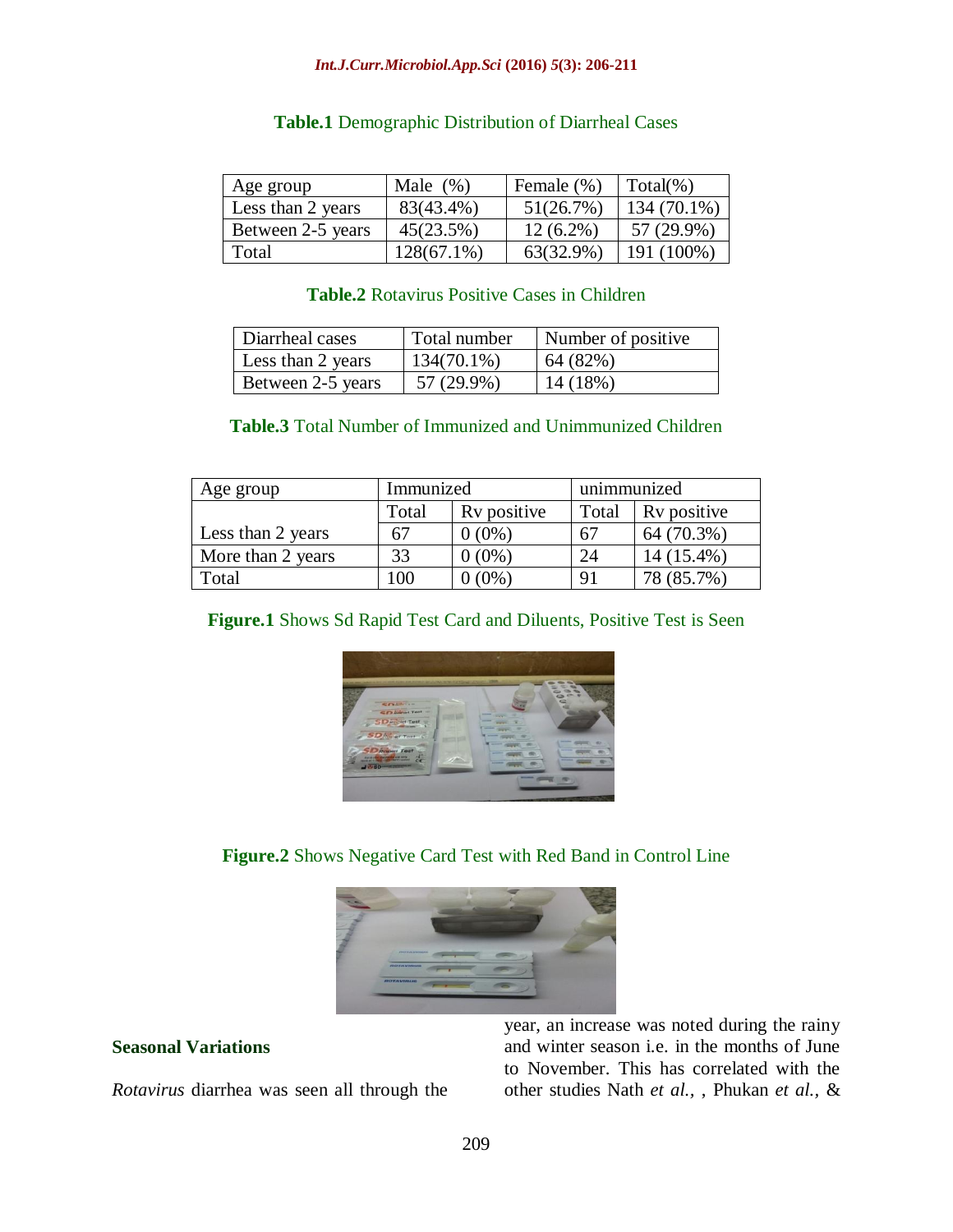| Age group         | Male $(\%)$   | Female $(\%)$ | $Total(\% )$ |
|-------------------|---------------|---------------|--------------|
| Less than 2 years | 83(43.4%)     | 51(26.7%)     | 134 (70.1%)  |
| Between 2-5 years | 45(23.5%)     | $12(6.2\%)$   | 57 (29.9%)   |
| Total             | $128(67.1\%)$ | 63(32.9%)     | 191 (100%)   |

#### **Table.1** Demographic Distribution of Diarrheal Cases

## **Table.2** Rotavirus Positive Cases in Children

| Diarrheal cases   | Total number  | Number of positive |
|-------------------|---------------|--------------------|
| Less than 2 years | $134(70.1\%)$ | 64 (82%)           |
| Between 2-5 years | 57 (29.9%)    | 14 (18%)           |

#### **Table.3** Total Number of Immunized and Unimmunized Children

| Age group         | Immunized |             | unimmunized |             |
|-------------------|-----------|-------------|-------------|-------------|
|                   | Total     | Ry positive | Total       | Ry positive |
| Less than 2 years | 67        | $0(0\%)$    | 67          | 64 (70.3%)  |
| More than 2 years | 33        | $0(0\%)$    | 24          | 14 (15.4%)  |
| Total             | 00        | $(0\%)$     | 91          | 78 (85.7%)  |

#### **Figure.1** Shows Sd Rapid Test Card and Diluents, Positive Test is Seen



## **Figure.2** Shows Negative Card Test with Red Band in Control Line



#### **Seasonal Variations**

*Rotavirus* diarrhea was seen all through the

year, an increase was noted during the rainy and winter season i.e. in the months of June to November. This has correlated with the other studies Nath *et al.,* , Phukan *et al.,* &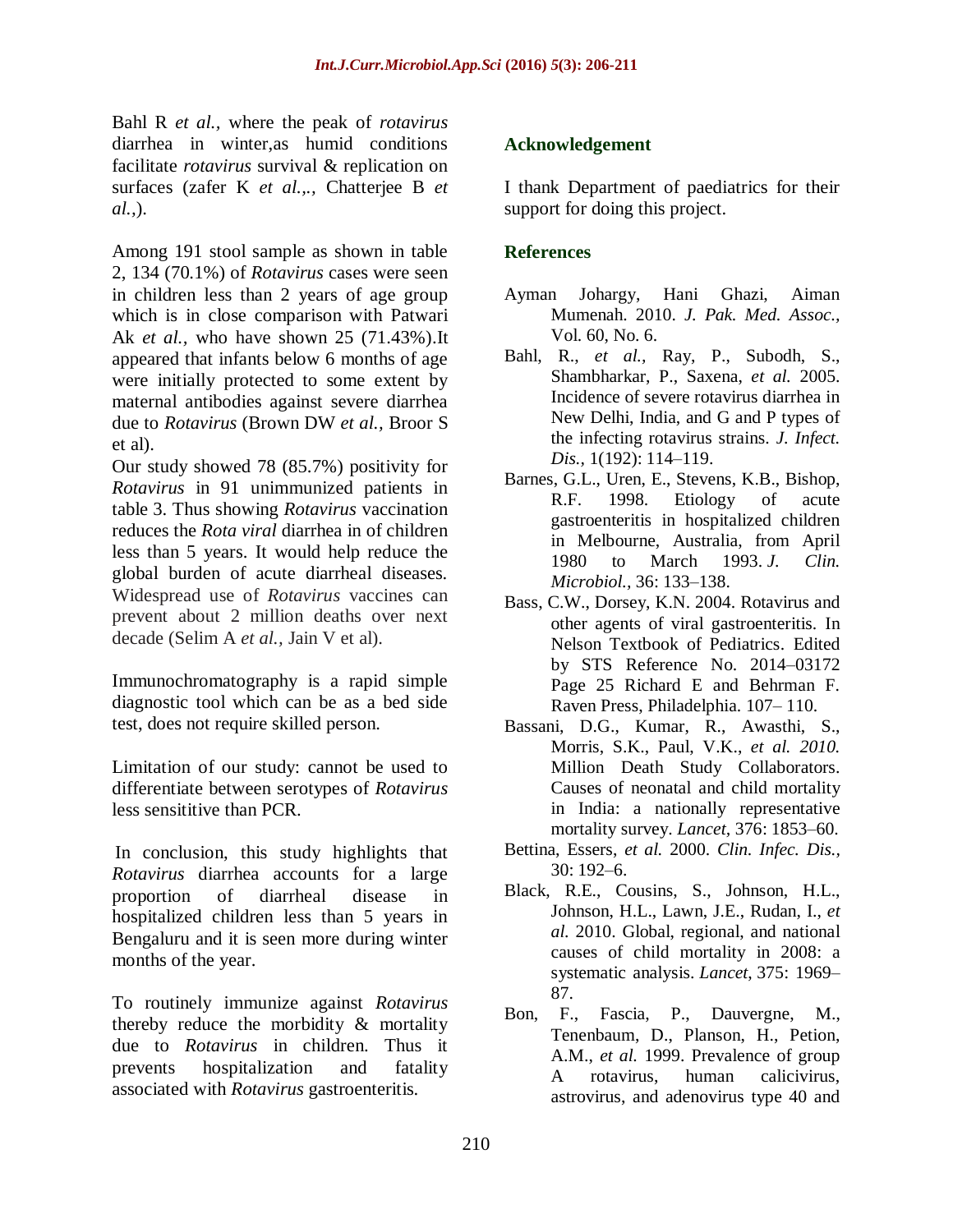Bahl R *et al.,* where the peak of *rotavirus* diarrhea in winter,as humid conditions facilitate *rotavirus* survival & replication on surfaces (zafer K *et al.,.,* Chatterjee B *et al.,*).

Among 191 stool sample as shown in table 2, 134 (70.1%) of *Rotavirus* cases were seen in children less than 2 years of age group which is in close comparison with Patwari Ak *et al.,* who have shown 25 (71.43%).It appeared that infants below 6 months of age were initially protected to some extent by maternal antibodies against severe diarrhea due to *Rotavirus* (Brown DW *et al.,* Broor S et al).

Our study showed 78 (85.7%) positivity for *Rotavirus* in 91 unimmunized patients in table 3. Thus showing *Rotavirus* vaccination reduces the *Rota viral* diarrhea in of children less than 5 years. It would help reduce the global burden of acute diarrheal diseases. Widespread use of *Rotavirus* vaccines can prevent about 2 million deaths over next decade (Selim A *et al.,* Jain V et al).

Immunochromatography is a rapid simple diagnostic tool which can be as a bed side test, does not require skilled person.

Limitation of our study: cannot be used to differentiate between serotypes of *Rotavirus* less sensititive than PCR.

In conclusion, this study highlights that *Rotavirus* diarrhea accounts for a large proportion of diarrheal disease in hospitalized children less than 5 years in Bengaluru and it is seen more during winter months of the year.

To routinely immunize against *Rotavirus* thereby reduce the morbidity & mortality due to *Rotavirus* in children. Thus it prevents hospitalization and fatality associated with *Rotavirus* gastroenteritis.

## **Acknowledgement**

I thank Department of paediatrics for their support for doing this project.

## **References**

- Ayman Johargy, Hani Ghazi, Aiman Mumenah. 2010. *J. Pak. Med. Assoc.,*  Vol. 60, No. 6.
- Bahl, R., *et al.,* Ray, P., Subodh, S., Shambharkar, P., Saxena, *et al.* 2005. Incidence of severe rotavirus diarrhea in New Delhi, India, and G and P types of the infecting rotavirus strains. *J. Infect. Dis.,* 1(192): 114–119.
- Barnes, G.L., Uren, E., Stevens, K.B., Bishop, R.F. 1998. Etiology of acute gastroenteritis in hospitalized children in Melbourne, Australia, from April 1980 to March 1993. *J. Clin. Microbiol.,* 36: 133–138.
- Bass, C.W., Dorsey, K.N. 2004. Rotavirus and other agents of viral gastroenteritis. In Nelson Textbook of Pediatrics. Edited by STS Reference No. 2014–03172 Page 25 Richard E and Behrman F. Raven Press, Philadelphia. 107– 110.
- Bassani, D.G., Kumar, R., Awasthi, S., Morris, S.K., Paul, V.K., *et al. 2010.* Million Death Study Collaborators. Causes of neonatal and child mortality in India: a nationally representative mortality survey. *Lancet,* 376: 1853–60.
- Bettina, Essers, *et al.* 2000. *Clin. Infec. Dis.,* 30: 192–6.
- Black, R.E., Cousins, S., Johnson, H.L., Johnson, H.L., Lawn, J.E., Rudan, I., *et al.* 2010. Global, regional, and national causes of child mortality in 2008: a systematic analysis. *Lancet*, 375: 1969– 87.
- Bon, F., Fascia, P., Dauvergne, M., Tenenbaum, D., Planson, H., Petion, A.M., *et al.* 1999. Prevalence of group A rotavirus, human calicivirus, astrovirus, and adenovirus type 40 and